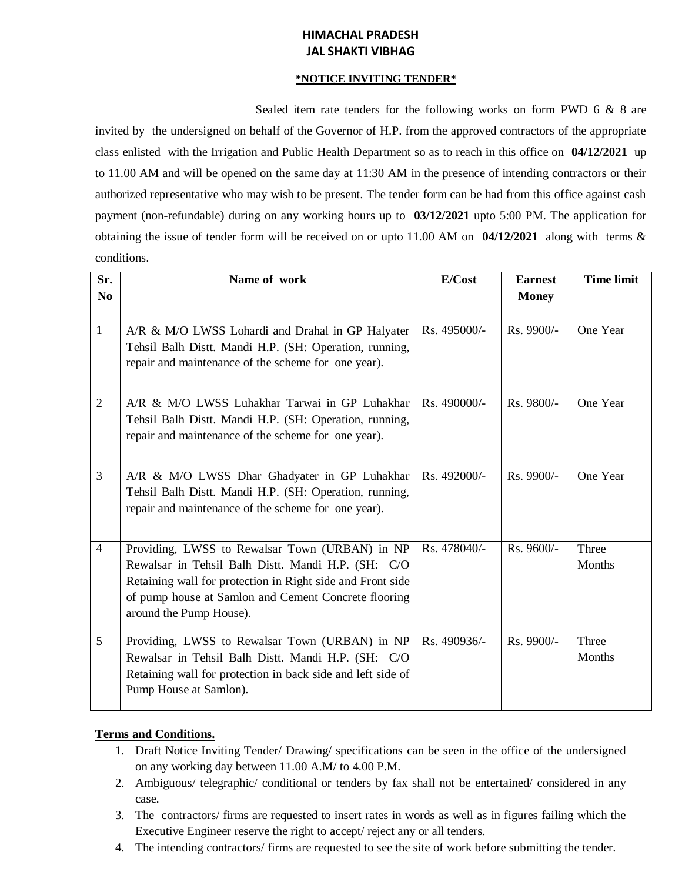# **HIMACHAL PRADESH JAL SHAKTI VIBHAG**

#### **\*NOTICE INVITING TENDER\***

Sealed item rate tenders for the following works on form PWD 6 & 8 are invited by the undersigned on behalf of the Governor of H.P. from the approved contractors of the appropriate class enlisted with the Irrigation and Public Health Department so as to reach in this office on **04/12/2021** up to 11.00 AM and will be opened on the same day at  $11:30$  AM in the presence of intending contractors or their authorized representative who may wish to be present. The tender form can be had from this office against cash payment (non-refundable) during on any working hours up to **03/12/2021** upto 5:00 PM. The application for obtaining the issue of tender form will be received on or upto 11.00 AM on **04/12/2021** along with terms & conditions.

| Sr.<br>N <sub>0</sub> | Name of work                                                                                                                                                                                                                                          | E/Cost       | <b>Earnest</b><br><b>Money</b> | <b>Time limit</b> |
|-----------------------|-------------------------------------------------------------------------------------------------------------------------------------------------------------------------------------------------------------------------------------------------------|--------------|--------------------------------|-------------------|
| $\mathbf{1}$          | A/R & M/O LWSS Lohardi and Drahal in GP Halyater<br>Tehsil Balh Distt. Mandi H.P. (SH: Operation, running,<br>repair and maintenance of the scheme for one year).                                                                                     | Rs. 495000/- | Rs. 9900/-                     | One Year          |
| $\overline{2}$        | A/R & M/O LWSS Luhakhar Tarwai in GP Luhakhar<br>Tehsil Balh Distt. Mandi H.P. (SH: Operation, running,<br>repair and maintenance of the scheme for one year).                                                                                        | Rs. 490000/- | Rs. 9800/-                     | One Year          |
| $\overline{3}$        | A/R & M/O LWSS Dhar Ghadyater in GP Luhakhar<br>Tehsil Balh Distt. Mandi H.P. (SH: Operation, running,<br>repair and maintenance of the scheme for one year).                                                                                         | Rs. 492000/- | Rs. 9900/-                     | One Year          |
| $\overline{4}$        | Providing, LWSS to Rewalsar Town (URBAN) in NP<br>Rewalsar in Tehsil Balh Distt. Mandi H.P. (SH: C/O<br>Retaining wall for protection in Right side and Front side<br>of pump house at Samlon and Cement Concrete flooring<br>around the Pump House). | Rs. 478040/- | Rs. 9600/-                     | Three<br>Months   |
| 5                     | Providing, LWSS to Rewalsar Town (URBAN) in NP<br>Rewalsar in Tehsil Balh Distt. Mandi H.P. (SH: C/O<br>Retaining wall for protection in back side and left side of<br>Pump House at Samlon).                                                         | Rs. 490936/- | Rs. 9900/-                     | Three<br>Months   |

### **Terms and Conditions.**

- 1. Draft Notice Inviting Tender/ Drawing/ specifications can be seen in the office of the undersigned on any working day between 11.00 A.M/ to 4.00 P.M.
- 2. Ambiguous/ telegraphic/ conditional or tenders by fax shall not be entertained/ considered in any case.
- 3. The contractors/ firms are requested to insert rates in words as well as in figures failing which the Executive Engineer reserve the right to accept/ reject any or all tenders.
- 4. The intending contractors/ firms are requested to see the site of work before submitting the tender.